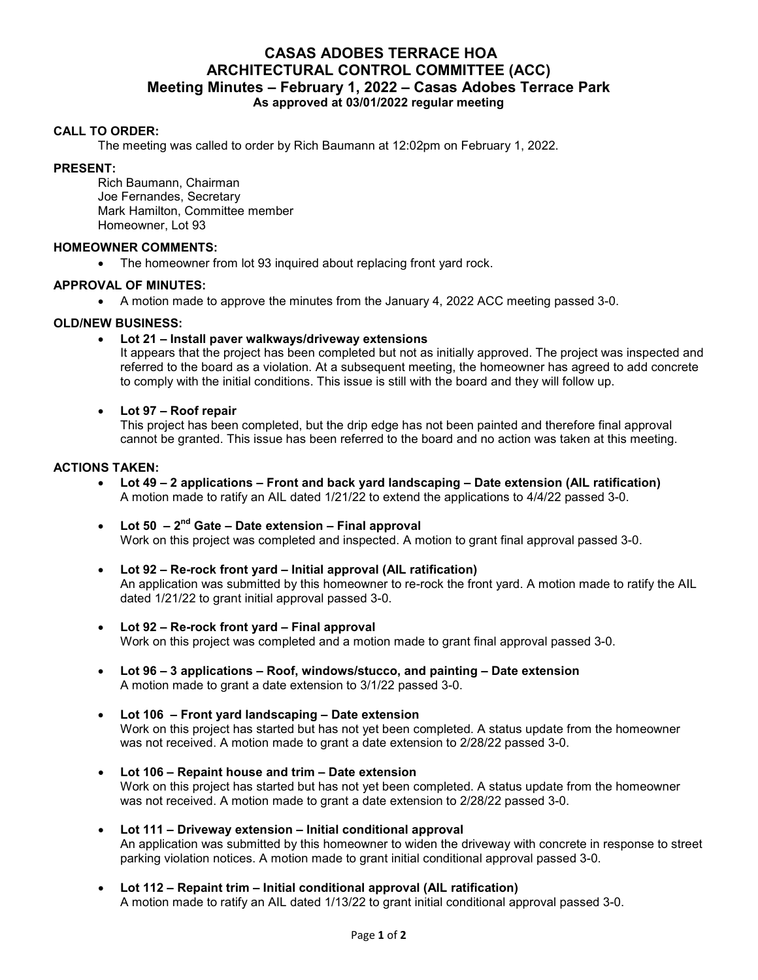# **CASAS ADOBES TERRACE HOA ARCHITECTURAL CONTROL COMMITTEE (ACC) Meeting Minutes – February 1, 2022 – Casas Adobes Terrace Park As approved at 03/01/2022 regular meeting**

# **CALL TO ORDER:**

The meeting was called to order by Rich Baumann at 12:02pm on February 1, 2022.

#### **PRESENT:**

Rich Baumann, Chairman Joe Fernandes, Secretary Mark Hamilton, Committee member Homeowner, Lot 93

#### **HOMEOWNER COMMENTS:**

• The homeowner from lot 93 inquired about replacing front yard rock.

#### **APPROVAL OF MINUTES:**

A motion made to approve the minutes from the January 4, 2022 ACC meeting passed 3-0.

# **OLD/NEW BUSINESS:**

**Lot 21 – Install paver walkways/driveway extensions**

It appears that the project has been completed but not as initially approved. The project was inspected and referred to the board as a violation. At a subsequent meeting, the homeowner has agreed to add concrete to comply with the initial conditions. This issue is still with the board and they will follow up.

#### **Lot 97 – Roof repair**

This project has been completed, but the drip edge has not been painted and therefore final approval cannot be granted. This issue has been referred to the board and no action was taken at this meeting.

#### **ACTIONS TAKEN:**

- **Lot 49 2 applications Front and back yard landscaping Date extension (AIL ratification)**  A motion made to ratify an AIL dated 1/21/22 to extend the applications to 4/4/22 passed 3-0.
- **Lot 50 2nd Gate Date extension Final approval**  Work on this project was completed and inspected. A motion to grant final approval passed 3-0.
- **Lot 92 Re-rock front yard Initial approval (AIL ratification)**  An application was submitted by this homeowner to re-rock the front yard. A motion made to ratify the AIL dated 1/21/22 to grant initial approval passed 3-0.
- **Lot 92 Re-rock front yard Final approval**  Work on this project was completed and a motion made to grant final approval passed 3-0.
- **Lot 96 3 applications Roof, windows/stucco, and painting Date extension**  A motion made to grant a date extension to 3/1/22 passed 3-0.
- **Lot 106 Front yard landscaping Date extension**  Work on this project has started but has not yet been completed. A status update from the homeowner was not received. A motion made to grant a date extension to 2/28/22 passed 3-0.
- **Lot 106 Repaint house and trim Date extension** Work on this project has started but has not yet been completed. A status update from the homeowner was not received. A motion made to grant a date extension to 2/28/22 passed 3-0.
- **Lot 111 Driveway extension Initial conditional approval**  An application was submitted by this homeowner to widen the driveway with concrete in response to street parking violation notices. A motion made to grant initial conditional approval passed 3-0.
- **Lot 112 Repaint trim Initial conditional approval (AIL ratification)** A motion made to ratify an AIL dated 1/13/22 to grant initial conditional approval passed 3-0.